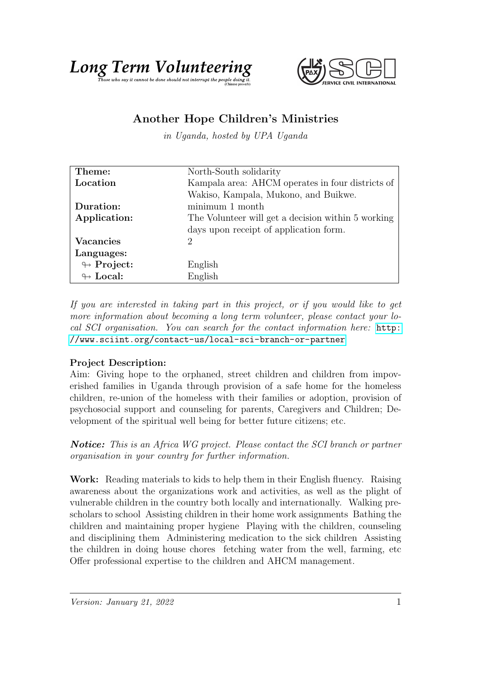



## Another Hope Children's Ministries

in Uganda, hosted by UPA Uganda

| Theme:                     | North-South solidarity                             |
|----------------------------|----------------------------------------------------|
| Location                   | Kampala area: AHCM operates in four districts of   |
|                            | Wakiso, Kampala, Mukono, and Buikwe.               |
| Duration:                  | minimum 1 month                                    |
| Application:               | The Volunteer will get a decision within 5 working |
|                            | days upon receipt of application form.             |
| <b>Vacancies</b>           | 2                                                  |
| Languages:                 |                                                    |
| $\leftrightarrow$ Project: | English                                            |
| $\leftrightarrow$ Local:   | English                                            |

If you are interested in taking part in this project, or if you would like to get more information about becoming a long term volunteer, please contact your local SCI organisation. You can search for the contact information here: [http:](http://www.sciint.org/contact-us/local-sci-branch-or-partner) [//www.sciint.org/contact-us/local-sci-branch-or-partner](http://www.sciint.org/contact-us/local-sci-branch-or-partner)

## Project Description:

Aim: Giving hope to the orphaned, street children and children from impoverished families in Uganda through provision of a safe home for the homeless children, re-union of the homeless with their families or adoption, provision of psychosocial support and counseling for parents, Caregivers and Children; Development of the spiritual well being for better future citizens; etc.

Notice: This is an Africa WG project. Please contact the SCI branch or partner organisation in your country for further information.

Work: Reading materials to kids to help them in their English fluency. Raising awareness about the organizations work and activities, as well as the plight of vulnerable children in the country both locally and internationally. Walking prescholars to school Assisting children in their home work assignments Bathing the children and maintaining proper hygiene Playing with the children, counseling and disciplining them Administering medication to the sick children Assisting the children in doing house chores fetching water from the well, farming, etc Offer professional expertise to the children and AHCM management.